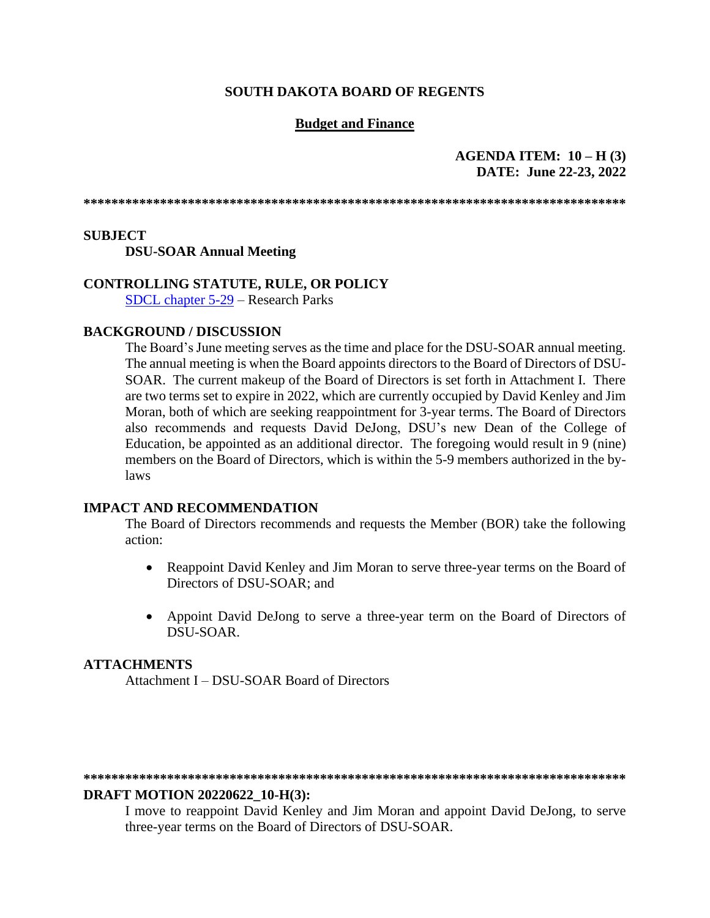### **SOUTH DAKOTA BOARD OF REGENTS**

### **Budget and Finance**

### **AGENDA ITEM: 10 – H (3) DATE: June 22-23, 2022**

**\*\*\*\*\*\*\*\*\*\*\*\*\*\*\*\*\*\*\*\*\*\*\*\*\*\*\*\*\*\*\*\*\*\*\*\*\*\*\*\*\*\*\*\*\*\*\*\*\*\*\*\*\*\*\*\*\*\*\*\*\*\*\*\*\*\*\*\*\*\*\*\*\*\*\*\*\*\***

### **SUBJECT**

#### **DSU-SOAR Annual Meeting**

### **CONTROLLING STATUTE, RULE, OR POLICY**

[SDCL chapter](https://sdlegislature.gov/Statutes/Codified_Laws/DisplayStatute.aspx?Type=Statute&Statute=5-29) 5-29 – Research Parks

#### **BACKGROUND / DISCUSSION**

The Board's June meeting serves as the time and place for the DSU-SOAR annual meeting. The annual meeting is when the Board appoints directors to the Board of Directors of DSU-SOAR. The current makeup of the Board of Directors is set forth in Attachment I. There are two terms set to expire in 2022, which are currently occupied by David Kenley and Jim Moran, both of which are seeking reappointment for 3-year terms. The Board of Directors also recommends and requests David DeJong, DSU's new Dean of the College of Education, be appointed as an additional director. The foregoing would result in 9 (nine) members on the Board of Directors, which is within the 5-9 members authorized in the bylaws

#### **IMPACT AND RECOMMENDATION**

The Board of Directors recommends and requests the Member (BOR) take the following action:

- Reappoint David Kenley and Jim Moran to serve three-year terms on the Board of Directors of DSU-SOAR; and
- Appoint David DeJong to serve a three-year term on the Board of Directors of DSU-SOAR.

#### **ATTACHMENTS**

Attachment I – DSU-SOAR Board of Directors

#### **\*\*\*\*\*\*\*\*\*\*\*\*\*\*\*\*\*\*\*\*\*\*\*\*\*\*\*\*\*\*\*\*\*\*\*\*\*\*\*\*\*\*\*\*\*\*\*\*\*\*\*\*\*\*\*\*\*\*\*\*\*\*\*\*\*\*\*\*\*\*\*\*\*\*\*\*\*\***

#### **DRAFT MOTION 20220622\_10-H(3):**

I move to reappoint David Kenley and Jim Moran and appoint David DeJong, to serve three-year terms on the Board of Directors of DSU-SOAR.